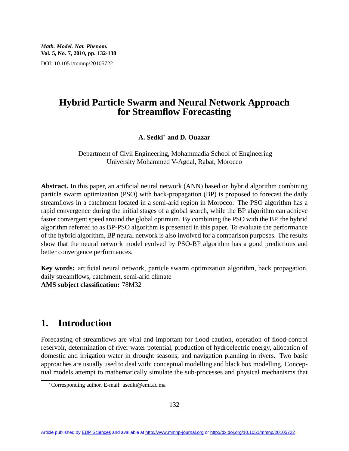*Math. Model. Nat. Phenom.* **Vol. 5, No. 7, 2010, pp. 132-138**

DOI: 10.1051/mmnp/20105722

#### **Hybrid Particle Swarm and Neural Network Approach for Streamflow Forecasting**

#### **A. Sedki**<sup>∗</sup> **and D. Ouazar**

Department of Civil Engineering, Mohammadia School of Engineering University Mohammed V-Agdal, Rabat, Morocco

**Abstract.** In this paper, an artificial neural network (ANN) based on hybrid algorithm combining particle swarm optimization (PSO) with back-propagation (BP) is proposed to forecast the daily streamflows in a catchment located in a semi-arid region in Morocco. The PSO algorithm has a rapid convergence during the initial stages of a global search, while the BP algorithm can achieve faster convergent speed around the global optimum. By combining the PSO with the BP, the hybrid algorithm referred to as BP-PSO algorithm is presented in this paper. To evaluate the performance of the hybrid algorithm, BP neural network is also involved for a comparison purposes. The results show that the neural network model evolved by PSO-BP algorithm has a good predictions and better convergence performances.

**Key words:** artificial neural network, particle swarm optimization algorithm, back propagation, daily streamflows, catchment, semi-arid climate **AMS subject classification:** 78M32

### **1. Introduction**

Forecasting of streamflows are vital and important for flood caution, operation of flood-control reservoir, determination of river water potential, production of hydroelectric energy, allocation of domestic and irrigation water in drought seasons, and navigation planning in rivers. Two basic approaches are usually used to deal with; conceptual modelling and black box modelling. Conceptual models attempt to mathematically simulate the sub-processes and physical mechanisms that

<sup>∗</sup>Corresponding author. E-mail: asedki@emi.ac.ma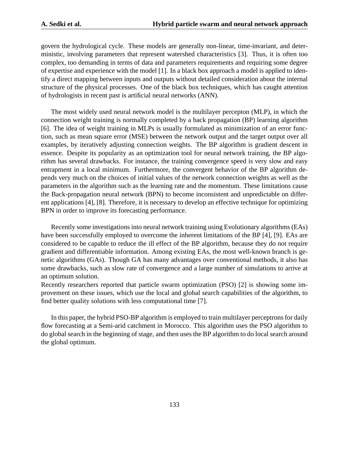govern the hydrological cycle. These models are generally non-linear, time-invariant, and deterministic, involving parameters that represent watershed characteristics [3]. Thus, it is often too complex, too demanding in terms of data and parameters requirements and requiring some degree of expertise and experience with the model [1]. In a black box approach a model is applied to identify a direct mapping between inputs and outputs without detailed consideration about the internal structure of the physical processes. One of the black box techniques, which has caught attention of hydrologists in recent past is artificial neural networks (ANN).

The most widely used neural network model is the multilayer percepton (MLP), in which the connection weight training is normally completed by a back propagation (BP) learning algorithm [6]. The idea of weight training in MLPs is usually formulated as minimization of an error function, such as mean square error (MSE) between the network output and the target output over all examples, by iteratively adjusting connection weights. The BP algorithm is gradient descent in essence. Despite its popularity as an optimization tool for neural network training, the BP algorithm has several drawbacks. For instance, the training convergence speed is very slow and easy entrapment in a local minimum. Furthermore, the convergent behavior of the BP algorithm depends very much on the choices of initial values of the network connection weights as well as the parameters in the algorithm such as the learning rate and the momentum. These limitations cause the Back-propagation neural network (BPN) to become inconsistent and unpredictable on different applications [4], [8]. Therefore, it is necessary to develop an effective technique for optimizing BPN in order to improve its forecasting performance.

Recently some investigations into neural network training using Evolutionary algorithms (EAs) have been successfully employed to overcome the inherent limitations of the BP [4], [9]. EAs are considered to be capable to reduce the ill effect of the BP algorithm, because they do not require gradient and differentiable information. Among existing EAs, the most well-known branch is genetic algorithms (GAs). Though GA has many advantages over conventional methods, it also has some drawbacks, such as slow rate of convergence and a large number of simulations to arrive at an optimum solution.

Recently researchers reported that particle swarm optimization (PSO) [2] is showing some improvement on these issues, which use the local and global search capabilities of the algorithm, to find better quality solutions with less computational time [7].

In this paper, the hybrid PSO-BP algorithm is employed to train multilayer perceptrons for daily flow forecasting at a Semi-arid catchment in Morocco. This algorithm uses the PSO algorithm to do global search in the beginning of stage, and then uses the BP algorithm to do local search around the global optimum.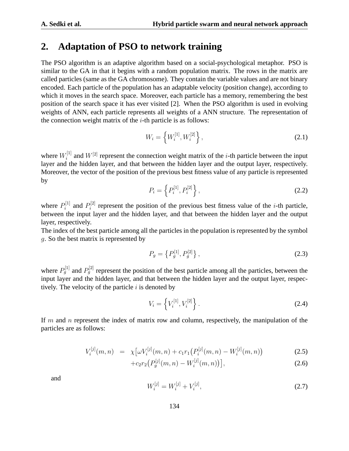## **2. Adaptation of PSO to network training**

The PSO algorithm is an adaptive algorithm based on a social-psychological metaphor. PSO is similar to the GA in that it begins with a random population matrix. The rows in the matrix are called particles (same as the GA chromosome). They contain the variable values and are not binary encoded. Each particle of the population has an adaptable velocity (position change), according to which it moves in the search space. Moreover, each particle has a memory, remembering the best position of the search space it has ever visited [2]. When the PSO algorithm is used in evolving weights of ANN, each particle represents all weights of a ANN structure. The representation of the connection weight matrix of the  $i$ -th particle is as follows:

$$
W_i = \left\{ W_i^{[1]}, W_i^{[2]} \right\},\tag{2.1}
$$

where  $W_i^{[1]}$  $i^{[1]}$  and  $W^{[2]}$  represent the connection weight matrix of the *i*-th particle between the input layer and the hidden layer, and that between the hidden layer and the output layer, respectively. Moreover, the vector of the position of the previous best fitness value of any particle is represented by

$$
P_i = \left\{ P_i^{[1]}, P_i^{[2]} \right\},\tag{2.2}
$$

where  $P_i^{[1]}$  $P_i^{[1]}$  and  $P_i^{[2]}$  $i^{1/2}$  represent the position of the previous best fitness value of the *i*-th particle, between the input layer and the hidden layer, and that between the hidden layer and the output layer, respectively.

The index of the best particle among all the particles in the population is represented by the symbol g. So the best matrix is represented by

$$
P_g = \left\{ P_g^{[1]}, P_g^{[2]} \right\},\tag{2.3}
$$

where  $P_g^{[1]}$  and  $P_g^{[2]}$  represent the position of the best particle among all the particles, between the input layer and the hidden layer, and that between the hidden layer and the output layer, respectively. The velocity of the particle  $i$  is denoted by

$$
V_i = \left\{ V_i^{[1]}, V_i^{[2]} \right\}.
$$
\n(2.4)

If  $m$  and  $n$  represent the index of matrix row and column, respectively, the manipulation of the particles are as follows:

$$
V_i^{[j]}(m,n) = \chi[\omega V_i^{[j]}(m,n) + c_1 r_1 (P_i^{[j]}(m,n) - W_i^{[j]}(m,n)) \qquad (2.5)
$$

$$
+c_2r_2\big(P_g^{[j]}(m,n)-W_i^{[j]}(m,n)\big)\big],\tag{2.6}
$$

and

$$
W_i^{[j]} = W_i^{[j]} + V_i^{[j]},\tag{2.7}
$$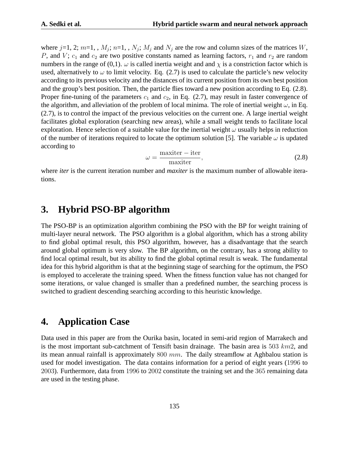where  $j=1, 2; m=1, \ldots, M_j; n=1, \ldots, N_j; M_j$  and  $N_j$  are the row and column sizes of the matrices W, P, and V;  $c_1$  and  $c_2$  are two positive constants named as learning factors,  $r_1$  and  $r_2$  are random numbers in the range of (0,1).  $\omega$  is called inertia weight and and  $\chi$  is a constriction factor which is used, alternatively to  $\omega$  to limit velocity. Eq. (2.7) is used to calculate the particle's new velocity according to its previous velocity and the distances of its current position from its own best position and the group's best position. Then, the particle flies toward a new position according to Eq. (2.8). Proper fine-tuning of the parameters  $c_1$  and  $c_2$ , in Eq. (2.7), may result in faster convergence of the algorithm, and alleviation of the problem of local minima. The role of inertial weight  $\omega$ , in Eq. (2.7), is to control the impact of the previous velocities on the current one. A large inertial weight facilitates global exploration (searching new areas), while a small weight tends to facilitate local exploration. Hence selection of a suitable value for the inertial weight  $\omega$  usually helps in reduction of the number of iterations required to locate the optimum solution [5]. The variable  $\omega$  is updated according to

$$
\omega = \frac{\text{maxiter} - \text{iter}}{\text{maxiter}},\tag{2.8}
$$

where *iter* is the current iteration number and *maxiter* is the maximum number of allowable iterations.

## **3. Hybrid PSO-BP algorithm**

The PSO-BP is an optimization algorithm combining the PSO with the BP for weight training of multi-layer neural network. The PSO algorithm is a global algorithm, which has a strong ability to find global optimal result, this PSO algorithm, however, has a disadvantage that the search around global optimum is very slow. The BP algorithm, on the contrary, has a strong ability to find local optimal result, but its ability to find the global optimal result is weak. The fundamental idea for this hybrid algorithm is that at the beginning stage of searching for the optimum, the PSO is employed to accelerate the training speed. When the fitness function value has not changed for some iterations, or value changed is smaller than a predefined number, the searching process is switched to gradient descending searching according to this heuristic knowledge.

# **4. Application Case**

Data used in this paper are from the Ourika basin, located in semi-arid region of Marrakech and is the most important sub-catchment of Tensift basin drainage. The basin area is  $503 \; km2$ , and its mean annual rainfall is approximately  $800$  mm. The daily streamflow at Aghbalou station is used for model investigation. The data contains information for a period of eight years (1996 to 2003). Furthermore, data from 1996 to 2002 constitute the training set and the 365 remaining data are used in the testing phase.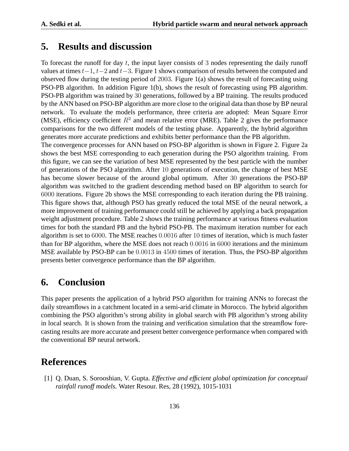### **5. Results and discussion**

To forecast the runoff for day  $t$ , the input layer consists of 3 nodes representing the daily runoff values at times  $t-1$ ,  $t-2$  and  $t-3$ . Figure 1 shows comparison of results between the computed and observed flow during the testing period of 2003. Figure 1(a) shows the result of forecasting using PSO-PB algorithm. In addition Figure 1(b), shows the result of forecasting using PB algorithm. PSO-PB algorithm was trained by 30 generations, followed by a BP training. The results produced by the ANN based on PSO-BP algorithm are more close to the original data than those by BP neural network. To evaluate the models performance, three criteria are adopted: Mean Square Error (MSE), efficiency coefficient  $R^2$  and mean relative error (MRE). Table 2 gives the performance comparisons for the two different models of the testing phase. Apparently, the hybrid algorithm generates more accurate predictions and exhibits better performance than the PB algorithm.

The convergence processes for ANN based on PSO-BP algorithm is shown in Figure 2. Figure 2a shows the best MSE corresponding to each generation during the PSO algorithm training. From this figure, we can see the variation of best MSE represented by the best particle with the number of generations of the PSO algorithm. After 10 generations of execution, the change of best MSE has become slower because of the around global optimum. After 30 generations the PSO-BP algorithm was switched to the gradient descending method based on BP algorithm to search for 6000 iterations. Figure 2b shows the MSE corresponding to each iteration during the PB training. This figure shows that, although PSO has greatly reduced the total MSE of the neural network, a more improvement of training performance could still be achieved by applying a back propagation weight adjustment procedure. Table 2 shows the training performance at various fitness evaluation times for both the standard PB and the hybrid PSO-PB. The maximum iteration number for each algorithm is set to 6000. The MSE reaches 0.0016 after 10 times of iteration, which is much faster than for BP algorithm, where the MSE does not reach 0.0016 in 6000 iterations and the minimum MSE available by PSO-BP can be 0.0013 in 4500 times of iteration. Thus, the PSO-BP algorithm presents better convergence performance than the BP algorithm.

# **6. Conclusion**

This paper presents the application of a hybrid PSO algorithm for training ANNs to forecast the daily streamflows in a catchment located in a semi-arid climate in Morocco. The hybrid algorithm combining the PSO algorithm's strong ability in global search with PB algorithm's strong ability in local search. It is shown from the training and verification simulation that the streamflow forecasting results are more accurate and present better convergence performance when compared with the conventional BP neural network.

## **References**

[1] Q. Duan, S. Sorooshian, V. Gupta. *Effective and efficient global optimization for conceptual rainfall runoff models.* Water Resour. Res, 28 (1992), 1015-1031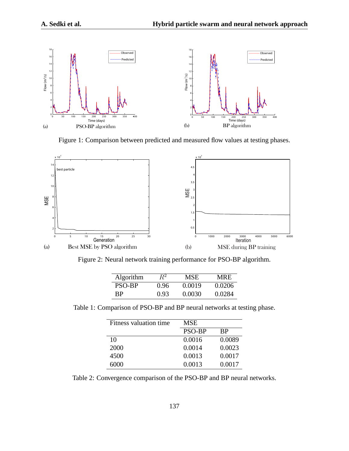

Figure 1: Comparison between predicted and measured flow values at testing phases.



Figure 2: Neural network training performance for PSO-BP algorithm.

| Algorithm | $\,R^2$ | <b>MSE</b> | MRE    |
|-----------|---------|------------|--------|
| PSO-BP    | 0.96    | 0.0019     | 0.0206 |
| RP.       | 0.93    | 0.0030     | 0.0284 |

Table 1: Comparison of PSO-BP and BP neural networks at testing phase.

| Fitness valuation time | MSE           |           |
|------------------------|---------------|-----------|
|                        | <b>PSO-BP</b> | <b>BP</b> |
| 10                     | 0.0016        | 0.0089    |
| 2000                   | 0.0014        | 0.0023    |
| 4500                   | 0.0013        | 0.0017    |
| 6000                   | 0.0013        | 0.0017    |

Table 2: Convergence comparison of the PSO-BP and BP neural networks.